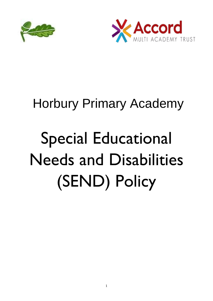



# Horbury Primary Academy

# Special Educational Needs and Disabilities (SEND) Policy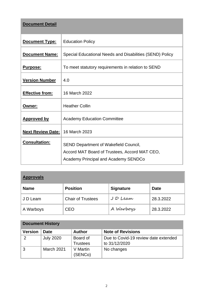| <b>Document Detail</b>   |                                                          |  |  |  |
|--------------------------|----------------------------------------------------------|--|--|--|
| Document Type:           | <b>Education Policy</b>                                  |  |  |  |
| <b>Document Name:</b>    | Special Educational Needs and Disabilities (SEND) Policy |  |  |  |
| Purpose:                 | To meet statutory requirements in relation to SEND       |  |  |  |
| <b>Version Number</b>    | 4.0                                                      |  |  |  |
| <b>Effective from:</b>   | 16 March 2022                                            |  |  |  |
| Owner:                   | <b>Heather Collin</b>                                    |  |  |  |
| <b>Approved by</b>       | <b>Academy Education Committee</b>                       |  |  |  |
| <b>Next Review Date:</b> | 16 March 2023                                            |  |  |  |
| <b>Consultation:</b>     | <b>SEND Department of Wakefield Council,</b>             |  |  |  |
|                          | Accord MAT Board of Trustees, Accord MAT CEO,            |  |  |  |
|                          | <b>Academy Principal and Academy SENDCo</b>              |  |  |  |

| <b>Approvals</b> |                          |                  |             |  |  |
|------------------|--------------------------|------------------|-------------|--|--|
| <b>Name</b>      | <b>Position</b>          | <b>Signature</b> | <b>Date</b> |  |  |
| J D Leam         | <b>Chair of Trustees</b> | JD Leam          | 28.3.2022   |  |  |
| A Warboys        | <b>CEO</b>               | A Warboys        | 28.3.2022   |  |  |

| <b>Document History</b> |                   |                             |                                                       |  |  |  |
|-------------------------|-------------------|-----------------------------|-------------------------------------------------------|--|--|--|
| <b>Version</b>          | <b>Date</b>       | <b>Author</b>               | <b>Note of Revisions</b>                              |  |  |  |
| 2                       | <b>July 2020</b>  | Board of<br><b>Trustees</b> | Due to Covid-19 review date extended<br>to 31/12/2020 |  |  |  |
|                         | <b>March 2021</b> | V Martin<br>(SENCo)         | No changes                                            |  |  |  |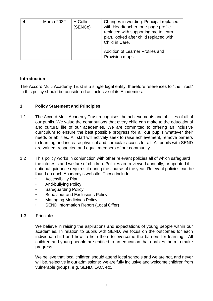| <b>March 2022</b> | H Collin<br>(SENCo) | Changes in wording: Principal replaced<br>with Headteacher, one-page profile<br>replaced with supporting me to learn<br>plan, looked after child replaced with<br>Child in Care. |
|-------------------|---------------------|----------------------------------------------------------------------------------------------------------------------------------------------------------------------------------|
|                   |                     | Addition of Learner Profiles and<br>Provision maps                                                                                                                               |

#### **Introduction**

The Accord Multi Academy Trust is a single legal entity, therefore references to "the Trust" in this policy should be considered as inclusive of its Academies.

#### **1. Policy Statement and Principles**

- 1.1 The Accord Multi Academy Trust recognises the achievements and abilities of all of our pupils. We value the contributions that every child can make to the educational and cultural life of our academies. We are committed to offering an inclusive curriculum to ensure the best possible progress for all our pupils whatever their needs or abilities. All staff will actively seek to raise achievement, remove barriers to learning and increase physical and curricular access for all. All pupils with SEND are valued, respected and equal members of our community.
- 1.2 This policy works in conjunction with other relevant policies all of which safeguard the interests and welfare of children. Policies are reviewed annually, or updated if national guidance requires it during the course of the year. Relevant policies can be found on each Academy's website. These include:
	- Accessibility Plan
	- Anti-bullying Policy
	- Safeguarding Policy
	- Behaviour and Exclusions Policy
	- Managing Medicines Policy
	- SEND Information Report (Local Offer)
- 1.3 Principles

We believe in raising the aspirations and expectations of young people within our academies. In relation to pupils with SEND, we focus on the outcomes for each individual child and how to help them to overcome the barriers for learning. All children and young people are entitled to an education that enables them to make progress.

We believe that local children should attend local schools and we are not, and never will be, selective in our admissions: we are fully inclusive and welcome children from vulnerable groups, e.g. SEND, LAC, etc.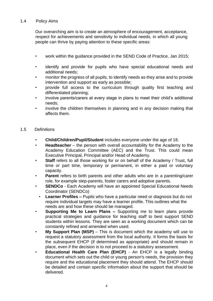#### 1.4 Policy Aims

Our overarching aim is to create an atmosphere of encouragement, acceptance, respect for achievements and sensitivity to individual needs, in which all young people can thrive by paying attention to these specific areas:

- work within the guidance provided in the SEND Code of Practice, Jan 2015;
- identify and provide for pupils who have special educational needs and additional needs;
- monitor the progress of all pupils, to identify needs as they arise and to provide intervention and support as early as possible;
- provide full access to the curriculum through quality first teaching and differentiated planning;
- involve parents/carers at every stage in plans to meet their child's additional needs;
- involve the children themselves in planning and in any decision making that affects them.

#### 1.5 Definitions

- **Child/Children/Pupil/Student** includes everyone under the age of 18.
- **Headteacher** the person with overall accountability for the Academy to the Academy Education Committee (AEC) and the Trust. This could mean Executive Principal, Principal and/or Head of Academy.
- **Staff** refers to all those working for or on behalf of the Academy / Trust, full time or part time, temporary or permanent, in either a paid or voluntary capacity.
- **Parent** refers to birth parents and other adults who are in a parenting/carer role, for example step-parents, foster carers and adoptive parents.
- **SENDCo**  Each Academy will have an appointed Special Educational Needs Coordinator (SENDCo)
- **Learner Profiles –** Pupils who have a particular need or diagnosis but do not require individual targets may have a learner profile. This outlines what the needs are and how these should be managed.
- **Supporting Me to Learn Plans –** Supporting me to learn plans provide practical strategies and guidance for teaching staff to best support SEND students within lessons. They are seen as a working document which can be constantly refined and amended when used.
- **My Support Plan (MSP)** This is document which the academy will use to request a statutory assessment from the local authority. It forms the basis for the subsequent EHCP (if determined as appropriate) and should remain in place, even if the decision is to not proceed to a statutory assessment.
- **Educational Health Care Plan (EHCP)** An EHCP is a legally binding document which sets out the child or young person's needs, the provision they require and the educational placement they should attend. The EHCP should be detailed and contain specific information about the support that should be delivered.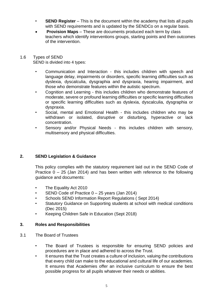- **SEND Register** This is the document within the academy that lists all pupils with SEND requirements and is updated by the SENDCo on a requiar basis.
- **Provision Maps** These are documents produced each term by class teachers which identify interventions groups, starting points and then outcomes of the intervention.
- 1.6 Types of SEND SEND is divided into 4 types:
	- Communication and Interaction this includes children with speech and language delay, impairments or disorders, specific learning difficulties such as dyslexia, dyscalculia, dysgraphia and dyspraxia, hearing impairment, and those who demonstrate features within the autistic spectrum.
	- Cognition and Learning this includes children who demonstrate features of moderate, severe or profound learning difficulties or specific learning difficulties or specific learning difficulties such as dyslexia, dyscalculia, dysgraphia or dyspraxia.
	- Social, mental and Emotional Health this includes children who may be withdrawn or isolated, disruptive or disturbing, hyperactive or lack concentration.
	- Sensory and/or Physical Needs this includes children with sensory, multisensory and physical difficulties.

# **2. SEND Legislation & Guidance**

This policy complies with the statutory requirement laid out in the SEND Code of Practice  $0 - 25$  (Jan 2014) and has been written with reference to the following guidance and documents:

- The Equality Act 2010
- SEND Code of Practice  $0 25$  years (Jan 2014)
- Schools SEND Information Report Regulations ( Sept 2014)
- Statutory Guidance on Supporting students at school with medical conditions (Dec 2015)
- Keeping Children Safe in Education (Sept 2018)

#### **3. Roles and Responsibilities**

- 3.1 The Board of Trustees
	- The Board of Trustees is responsible for ensuring SEND policies and procedures are in place and adhered to across the Trust.
	- It ensures that the Trust creates a culture of inclusion, valuing the contributions that every child can make to the educational and cultural life of our academies. It ensures that Academies offer an inclusive curriculum to ensure the best possible progress for all pupils whatever their needs or abilities.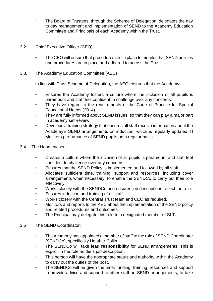- The Board of Trustees, through the Scheme of Delegation, delegates the day to day management and implementation of SEND to the Academy Education Committee and Principals of each Academy within the Trust.
- 3.2. Chief Executive Officer (CEO)
	- The CEO will ensure that procedures are in place to monitor that SEND policies and procedures are in place and adhered to across the Trust.
- 3.3. The Academy Education Committee (AEC)

In line with Trust Scheme of Delegation, the AEC ensures that the Academy:

- Ensures the Academy fosters a culture where the inclusion of all pupils is paramount and staff feel confident to challenge over any concerns.
- They have regard to the requirements of the Code of Practice for Special Educational Needs (2014)
- They are fully informed about SEND issues, so that they can play a major part in academy self-review.
- Develops a training strategy that ensures all staff receive information about the Academy's SEND arrangements on induction, which is regularly updated.  $\square$ Monitors performance of SEND pupils on a regular basis.
- 3.4 The Headteacher:
	- Creates a culture where the inclusion of all pupils is paramount and staff feel confident to challenge over any concerns.
	- Ensures that the SEND Policy is implemented and followed by all staff
	- Allocates sufficient time, training, support and resources, including cover arrangements when necessary, to enable the SENDCo to carry out their role effectively.
	- Works closely with the SENDCo and ensures job descriptions reflect the role.
	- Ensures induction and training of all staff.
	- Works closely with the Central Trust team and CEO as required.
	- Monitors and reports to the AEC about the implementation of the SEND policy and related procedures and outcomes.
	- The Principal may delegate this role to a designated member of SLT.
- 3.5 The SEND Coordinator:
	- The Academy has appointed a member of staff to the role of SEND Coordinator (SENDCo), specifically Heather Collin
	- The SENDCo will take **lead responsibility** for SEND arrangements. This is explicit in the role holder's job description.
	- This person will have the appropriate status and authority within the Academy to carry out the duties of the post.
	- The SENDCo will be given the time, funding, training, resources and support to provide advice and support to other staff on SEND arrangements, to take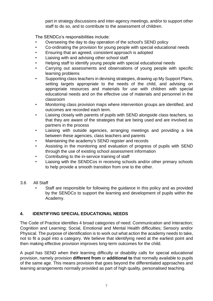part in strategy discussions and inter-agency meetings, and/or to support other staff to do so, and to contribute to the assessment of children.

The SENDCo's responsibilities include:

- Overseeing the day to day operation of the school's SEND policy
- Co-ordinating the provision for young people with special educational needs
- Ensuring that an agreed, consistent approach is adopted
- Liaising with and advising other school staff
- Helping staff to identify young people with special educational needs
- Carrying out assessments and observations of young people with specific learning problems
- Supporting class teachers in devising strategies, drawing up My Support Plans, setting targets appropriate to the needs of the child, and advising on appropriate resources and materials for use with children with special educational needs and on the effective use of materials and personnel in the classroom
- Monitoring class provision maps where intervention groups are identified, and outcomes are recorded each term.
- Liaising closely with parents of pupils with SEND alongside class teachers, so that they are aware of the strategies that are being used and are involved as partners in the process
- Liaising with outside agencies, arranging meetings and providing a link between these agencies, class teachers and parents
- Maintaining the academy's SEND register and records
- Assisting in the monitoring and evaluation of progress of pupils with SEND through the use of existing school assessment information
- Contributing to the in-service training of staff
- Liaising with the SENDCos in receiving schools and/or other primary schools to help provide a smooth transition from one to the other.
- 3.6 All Staff
	- Staff are responsible for following the guidance in this policy and as provided by the SENDCo to support the learning and development of pupils within the Academy.

# **4. IDENTIFYING SPECIAL EDUCATIONAL NEEDS**

The Code of Practice identifies 4 broad categories of need: Communication and Interaction; Cognition and Learning; Social, Emotional and Mental Health difficulties; Sensory and/or Physical. The purpose of identification is to work out what action the academy needs to take, not to fit a pupil into a category. We believe that identifying need at the earliest point and then making effective provision improves long-term outcomes for the child.

A pupil has SEND when their learning difficulty or disability calls for special educational provision, namely provision **different from** or **additional to** that normally available to pupils of the same age. This means provision that goes beyond the differentiated approaches and learning arrangements normally provided as part of high quality, personalised teaching.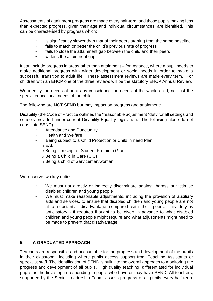Assessments of attainment progress are made every half-term and those pupils making less than expected progress, given their age and individual circumstances, are identified. This can be characterised by progress which:

- is significantly slower than that of their peers starting from the same baseline
- fails to match or better the child's previous rate of progress
- fails to close the attainment gap between the child and their peers
- widens the attainment gap

It can include progress in areas other than attainment – for instance, where a pupil needs to make additional progress with wider development or social needs in order to make a successful transition to adult life. These assessment reviews are made every term. For children with an EHCP one of the three reviews will be the statutory EHCP Annual Review.

We identify the needs of pupils by considering the needs of the whole child, not just the special educational needs of the child.

The following are NOT SEND but may impact on progress and attainment:

Disability (the Code of Practice outlines the "reasonable adjustment "duty for all settings and schools provided under current Disability Equality legislation. The following alone do not constitute SEND)

- Attendance and Punctuality
- Health and Welfare
- Being subject to a Child Protection or Child in need Plan o EAL
	- o Being in receipt of Student Premium Grant
	- o Being a Child in Care (CiC)
	- o Being a child of Serviceman/woman

We observe two key duties:

- We must not directly or indirectly discriminate against, harass or victimise disabled children and young people
- We must make reasonable adjustments, including the provision of auxiliary aids and services, to ensure that disabled children and young people are not at a substantial disadvantage compared with their peers. This duty is anticipatory - it requires thought to be given in advance to what disabled children and young people might require and what adjustments might need to be made to prevent that disadvantage

# **5. A GRADUATED APPROACH**

Teachers are responsible and accountable for the progress and development of the pupils in their classroom, including where pupils access support from Teaching Assistants or specialist staff. The identification of SEND is built into the overall approach to monitoring the progress and development of all pupils. High quality teaching, differentiated for individual pupils, is the first step in responding to pupils who have or may have SEND. All teachers, supported by the Senior Leadership Team, assess progress of all pupils every half-term.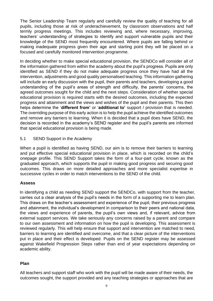The Senior Leadership Team regularly and carefully review the quality of teaching for all pupils, including those at risk of underachievement, by classroom observations and half termly progress meetings. This includes reviewing and, where necessary, improving, teachers' understanding of strategies to identify and support vulnerable pupils and their knowledge of the SEND most frequently encountered. Where pupils are falling behind or making inadequate progress given their age and starting point they will be placed on a focused and carefully monitored intervention programme.

In deciding whether to make special educational provision, the SENDCo will consider all of the information gathered from within the academy about the pupil's progress. Pupils are only identified as SEND if they do not make adequate progress once they have had all the intervention, adjustments and good quality personalised teaching. This information gathering will include an early discussion with the pupil, their parents and teachers, developing a good understanding of the pupil's areas of strength and difficulty, the parents' concerns, the agreed outcomes sought for the child and the next steps. Consideration of whether special educational provision is required starts with the desired outcomes, including the expected progress and attainment and the views and wishes of the pupil and their parents. This then helps determine the '**different from'** or '**additional to'** support / provision that is needed. The overriding purpose of this early action is to help the pupil achieve the identified outcomes and remove any barriers to learning. When it is decided that a pupil does have SEND, the decision is recorded in the academy's SEND register and the pupil's parents are informed that special educational provision is being made.

5.1 SEND Support in the Academy

When a pupil is identified as having SEND, our aim is to remove their barriers to learning and put effective special educational provision in place, which is recorded on the child's onepage profile. This SEND Support takes the form of a four-part cycle, known as the graduated approach, which supports the pupil in making good progress and securing good outcomes. This draws on more detailed approaches and more specialist expertise in successive cycles in order to match interventions to the SEND of the child.

#### **Assess**

In identifying a child as needing SEND support the SENDCo, with support from the teacher, carries out a clear analysis of the pupil's needs in the form of a supporting me to learn plan. This draws on the teacher's assessment and experience of the pupil, their previous progress and attainment, the individual's development in comparison to their peers and national data, the views and experience of parents, the pupil's own views and, if relevant, advice from external support services. We take seriously any concerns raised by a parent and compare to our own assessment and information on how the pupil is developing. This assessment is reviewed regularly. This will help ensure that support and intervention are matched to need, barriers to learning are identified and overcome, and that a clear picture of the interventions put in place and their effect is developed. Pupils on the SEND register may be assessed against Wakefield Progression Steps rather than end of year expectations depending on academic ability.

#### **Plan**

All teachers and support staff who work with the pupil will be made aware of their needs, the outcomes sought, the support provided and any teaching strategies or approaches that are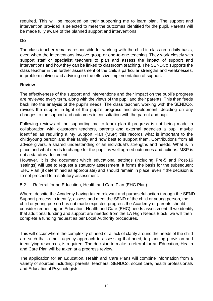required. This will be recorded on their supporting me to learn plan. The support and intervention provided is selected to meet the outcomes identified for the pupil. Parents will be made fully aware of the planned support and interventions.

#### **Do**

The class teacher remains responsible for working with the child in class on a daily basis, even when the interventions involve group or one-to-one teaching. They work closely with support staff or specialist teachers to plan and assess the impact of support and interventions and how they can be linked to classroom teaching. The SENDCo supports the class teacher in the further assessment of the child's particular strengths and weaknesses, in problem solving and advising on the effective implementation of support.

#### **Review**

The effectiveness of the support and interventions and their impact on the pupil's progress are reviewed every term, along with the views of the pupil and their parents. This then feeds back into the analysis of the pupil's needs. The class teacher, working with the SENDCo, revises the support in light of the pupil's progress and development, deciding on any changes to the support and outcomes in consultation with the parent and pupil.

Following reviews of the supporting me to learn plan if progress is not being made in collaboration with classroom teachers, parents and external agencies a pupil maybe identified as requiring a My Support Plan (MSP) this records what is important to the child/young person and their family and how best to support them. Contributions from all advice givers, a shared understanding of an individual's strengths and needs. What is in place and what needs to change for the pupil as well agreed outcomes and actions. MSP is not a statutory document.

However, it is the document which educational settings (including Pre-5 and Post-16 settings) will use to request a statutory assessment. It forms the basis for the subsequent EHC Plan (if determined as appropriate) and should remain in place, even if the decision is to not proceed to a statutory assessment.

5.2 Referral for an Education, Health and Care Plan (EHC Plan)

Where, despite the Academy having taken relevant and purposeful action through the SEND Support process to identify, assess and meet the SEND of the child or young person, the child or young person has not made expected progress the Academy or parents should consider requesting an Education, Health and Care (EHC) needs assessment. If we identify that additional funding and support are needed from the LA High Needs Block, we will then complete a funding request as per Local Authority procedures.

This will occur where the complexity of need or a lack of clarity around the needs of the child are such that a multi-agency approach to assessing that need, to planning provision and identifying resources, is required. The decision to make a referral for an Education, Health and Care Plan will be taken at a progress review.

The application for an Education, Health and Care Plans will combine information from a variety of sources including: parents, teachers, SENDCo, social care, health professionals and Educational Psychologists.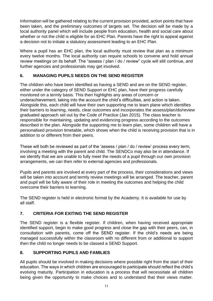Information will be gathered relating to the current provision provided, action points that have been taken, and the preliminary outcomes of targets set. The decision will be made by a local authority panel which will include people from education, health and social care about whether or not the child is eligible for an EHC Plan. Parents have the right to appeal against a decision not to initiate a statutory assessment leading to an EHC Plan.

Where a pupil has an EHC plan, the local authority must review that plan as a minimum every twelve months. The local authority can require schools to convene and hold annual review meetings on its behalf. The "assess / plan / do / review" cycle will still continue, and further agencies and professionals may get involved.

## **6. MANAGING PUPILS NEEDS ON THE SEND REGISTER**

The children who have been identified as having a SEND and are on the SEND register, either under the category of SEND Support or EHC plan, have their progress carefully monitored on a termly basis. This then highlights any areas of concern or underachievement, taking into the account the child's difficulties, and action is taken. Alongside this, each child will have their own supporting me to learn plane which identifies their barriers to learning, needs, clear outcomes and incorporates the assess/plan/do/review graduated approach set out by the Code of Practice (Jan 2015). The class teacher is responsible for maintaining, updating and evidencing progress according to the outcomes described in the plan. Alongside the supporting me to learn plan, some children will have a personalised provision timetable, which shows when the child is receiving provision that is in addition to or different from their peers.

These will both be reviewed as part of the 'assess / plan / do / review' process every term, involving a meeting with the parent and child. The SENDCo may also be in attendance. If we identify that we are unable to fully meet the needs of a pupil through our own provision arrangements, we can then refer to external agencies and professionals.

Pupils and parents are involved at every part of the process, their considerations and views will be taken into account and termly review meetings will be arranged. The teacher, parent and pupil will be fully aware of their role in meeting the outcomes and helping the child overcome their barriers to learning.

The SEND register is held in electronic format by the Academy. It is available for use by all staff.

# **7. CRITERIA FOR EXITING THE SEND REGISTER**

The SEND register is a flexible register. If children, when having received appropriate identified support, begin to make good progress and close the gap with their peers, can, in consultation with parents, come off the SEND register. If the child's needs are being managed successfully within the classroom with no different from or additional to support then the child no longer needs to be classed a SEND Support.

#### **8. SUPPORTING PUPILS AND FAMILIES**

All pupils should be involved in making decisions where possible right from the start of their education. The ways in which children are encouraged to participate should reflect the child's evolving maturity. Participation in education is a process that will necessitate all children being given the opportunity to make choices and to understand that their views matter.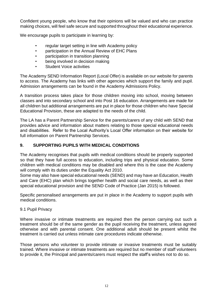Confident young people, who know that their opinions will be valued and who can practice making choices, will feel safe secure and supported throughout their educational experience.

We encourage pupils to participate in learning by:

- regular target setting in line with Academy policy
- participation in the Annual Review of EHC Plans
- participation in transition planning
- being involved in decision making
- Student Voice activities

The Academy SEND Information Report (Local Offer) is available on our website for parents to access. The Academy has links with other agencies which support the family and pupil. Admission arrangements can be found in the Academy Admissions Policy.

A transition process takes place for those children moving into school, moving between classes and into secondary school and into Post 16 education. Arrangements are made for all children but additional arrangements are put in place for those children who have Special Educational Provision, these are adapted to the needs of the child.

The LA has a Parent Partnership Service for the parents/carers of any child with SEND that provides advice and information about matters relating to those special educational needs and disabilities. Refer to the Local Authority's Local Offer information on their website for full information on Parent Partnership Services.

## **9. SUPPORTING PUPILS WITH MEDICAL CONDITIONS**

The Academy recognises that pupils with medical conditions should be properly supported so that they have full access to education, including trips and physical education. Some children with medical conditions may be disabled and where this is the case the Academy will comply with its duties under the Equality Act 2010.

Some may also have special educational needs (SEND) and may have an Education, Health and Care (EHC) plan which brings together health and social care needs, as well as their special educational provision and the SEND Code of Practice (Jan 2015) is followed.

Specific personalised arrangements are put in place in the Academy to support pupils with medical conditions.

#### 9.1 Pupil Privacy

Where invasive or intimate treatments are required then the person carrying out such a treatment should be of the same gender as the pupil receiving the treatment, unless agreed otherwise and with parental consent. One additional adult should be present whilst the treatment is carried out unless intimate care procedures indicate otherwise.

Those persons who volunteer to provide intimate or invasive treatments must be suitably trained. Where invasive or intimate treatments are required but no member of staff volunteers to provide it, the Principal and parents/carers must respect the staff's wishes not to do so.